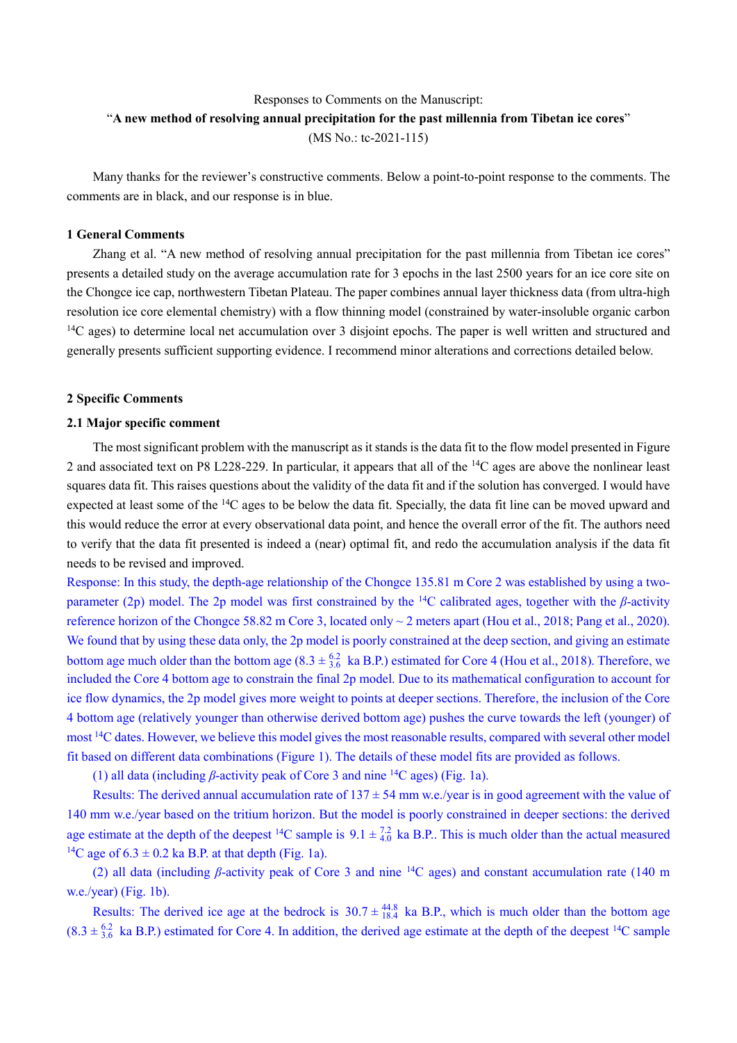# Responses to Comments on the Manuscript: "**A new method of resolving annual precipitation for the past millennia from Tibetan ice cores**" (MS No.: tc-2021-115)

Many thanks for the reviewer's constructive comments. Below a point-to-point response to the comments. The comments are in black, and our response is in blue.

### **1 General Comments**

Zhang et al. "A new method of resolving annual precipitation for the past millennia from Tibetan ice cores" presents a detailed study on the average accumulation rate for 3 epochs in the last 2500 years for an ice core site on the Chongce ice cap, northwestern Tibetan Plateau. The paper combines annual layer thickness data (from ultra-high resolution ice core elemental chemistry) with a flow thinning model (constrained by water-insoluble organic carbon  $14C$  ages) to determine local net accumulation over 3 disjoint epochs. The paper is well written and structured and generally presents sufficient supporting evidence. I recommend minor alterations and corrections detailed below.

## **2 Specific Comments**

#### **2.1 Major specific comment**

The most significant problem with the manuscript as it stands is the data fit to the flow model presented in Figure 2 and associated text on P8 L228-229. In particular, it appears that all of the <sup>14</sup>C ages are above the nonlinear least squares data fit. This raises questions about the validity of the data fit and if the solution has converged. I would have expected at least some of the <sup>14</sup>C ages to be below the data fit. Specially, the data fit line can be moved upward and this would reduce the error at every observational data point, and hence the overall error of the fit. The authors need to verify that the data fit presented is indeed a (near) optimal fit, and redo the accumulation analysis if the data fit needs to be revised and improved.

Response: In this study, the depth-age relationship of the Chongce 135.81 m Core 2 was established by using a twoparameter (2p) model. The 2p model was first constrained by the <sup>14</sup>C calibrated ages, together with the *β*-activity reference horizon of the Chongce 58.82 m Core 3, located only  $\sim$  2 meters apart (Hou et al., 2018; Pang et al., 2020). We found that by using these data only, the 2p model is poorly constrained at the deep section, and giving an estimate bottom age much older than the bottom age  $(8.3 \pm \frac{6.2}{3.6}$  ka B.P.) estimated for Core 4 (Hou et al., 2018). Therefore, we included the Core 4 bottom age to constrain the final 2p model. Due to its mathematical configuration to account for ice flow dynamics, the 2p model gives more weight to points at deeper sections. Therefore, the inclusion of the Core 4 bottom age (relatively younger than otherwise derived bottom age) pushes the curve towards the left (younger) of most <sup>14</sup>C dates. However, we believe this model gives the most reasonable results, compared with several other model fit based on different data combinations (Figure 1). The details of these model fits are provided as follows.

(1) all data (including *β*-activity peak of Core 3 and nine <sup>14</sup>C ages) (Fig. 1a).

Results: The derived annual accumulation rate of  $137 \pm 54$  mm w.e./year is in good agreement with the value of 140 mm w.e./year based on the tritium horizon. But the model is poorly constrained in deeper sections: the derived age estimate at the depth of the deepest <sup>14</sup>C sample is  $9.1 \pm \frac{7.2}{4.0}$  ka B.P.. This is much older than the actual measured <sup>14</sup>C age of  $6.3 \pm 0.2$  ka B.P. at that depth (Fig. 1a).

(2) all data (including *β*-activity peak of Core 3 and nine <sup>14</sup>C ages) and constant accumulation rate (140 m w.e./year) (Fig. 1b).

Results: The derived ice age at the bedrock is  $30.7 \pm \frac{44.8}{18.4}$  ka B.P., which is much older than the bottom age  $(8.3 \pm \frac{6.2}{3.6})$  ka B.P.) estimated for Core 4. In addition, the derived age estimate at the depth of the deepest <sup>14</sup>C sample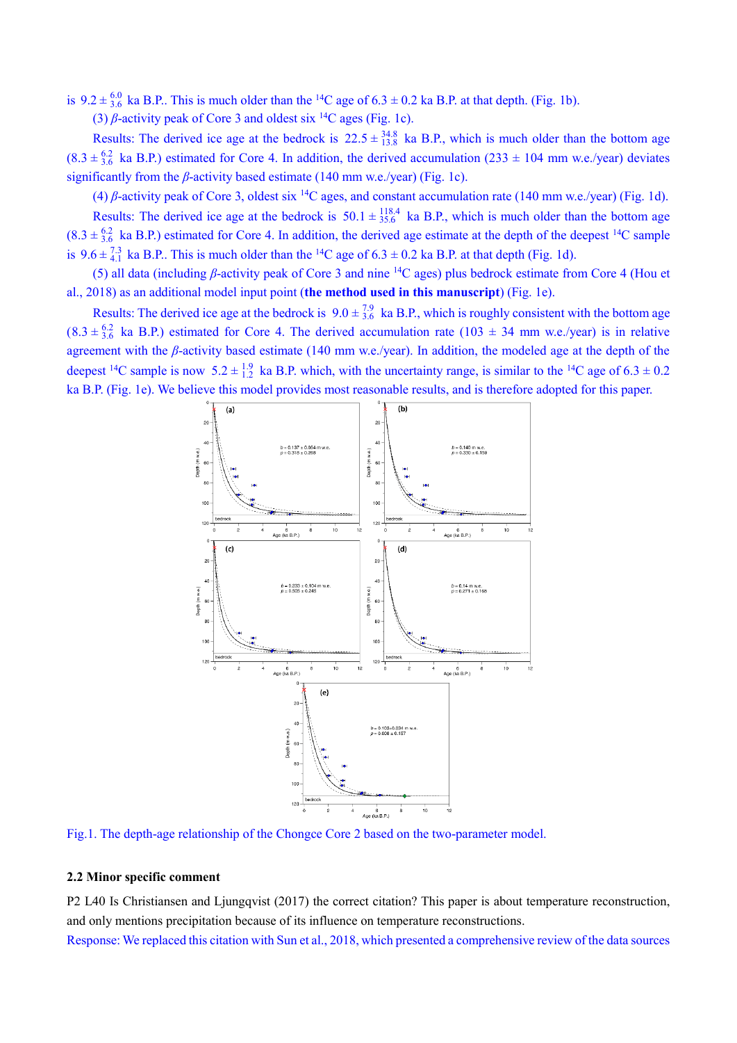is  $9.2 \pm \frac{6.0}{3.6}$  ka B.P.. This is much older than the <sup>14</sup>C age of  $6.3 \pm 0.2$  ka B.P. at that depth. (Fig. 1b).

(3)  $\beta$ -activity peak of Core 3 and oldest six <sup>14</sup>C ages (Fig. 1c).

Results: The derived ice age at the bedrock is  $22.5 \pm \frac{34.8}{13.8}$  ka B.P., which is much older than the bottom age  $(8.3 \pm \frac{6.2}{3.6})$  ka B.P.) estimated for Core 4. In addition, the derived accumulation  $(233 \pm 104)$  mm w.e./year) deviates significantly from the *β*-activity based estimate (140 mm w.e./year) (Fig. 1c).

(4) *β*-activity peak of Core 3, oldest six <sup>14</sup>C ages, and constant accumulation rate (140 mm w.e./year) (Fig. 1d). Results: The derived ice age at the bedrock is  $50.1 \pm \frac{118.4}{35.6}$  ka B.P., which is much older than the bottom age  $(8.3 \pm \frac{6.2}{3.6})$  ka B.P.) estimated for Core 4. In addition, the derived age estimate at the depth of the deepest <sup>14</sup>C sample is  $9.6 \pm \frac{7.3}{4.1}$  ka B.P.. This is much older than the <sup>14</sup>C age of  $6.3 \pm 0.2$  ka B.P. at that depth (Fig. 1d).

(5) all data (including *β*-activity peak of Core 3 and nine <sup>14</sup>C ages) plus bedrock estimate from Core 4 (Hou et al., 2018) as an additional model input point (**the method used in this manuscript**) (Fig. 1e).

Results: The derived ice age at the bedrock is  $9.0 \pm \frac{7.9}{3.6}$  ka B.P., which is roughly consistent with the bottom age  $(8.3 \pm \frac{6.2}{3.6})$  ka B.P.) estimated for Core 4. The derived accumulation rate  $(103 \pm 34)$  mm w.e./year) is in relative agreement with the *β*-activity based estimate (140 mm w.e./year). In addition, the modeled age at the depth of the deepest <sup>14</sup>C sample is now 5.2  $\pm$   $^{1.9}_{1.2}$  ka B.P. which, with the uncertainty range, is similar to the <sup>14</sup>C age of 6.3  $\pm$  0.2 ka B.P. (Fig. 1e). We believe this model provides most reasonable results, and is therefore adopted for this paper.



Fig.1. The depth-age relationship of the Chongce Core 2 based on the two-parameter model.

## **2.2 Minor specific comment**

P2 L40 Is Christiansen and Ljungqvist (2017) the correct citation? This paper is about temperature reconstruction, and only mentions precipitation because of its influence on temperature reconstructions.

Response: We replaced this citation with Sun et al., 2018, which presented a comprehensive review of the data sources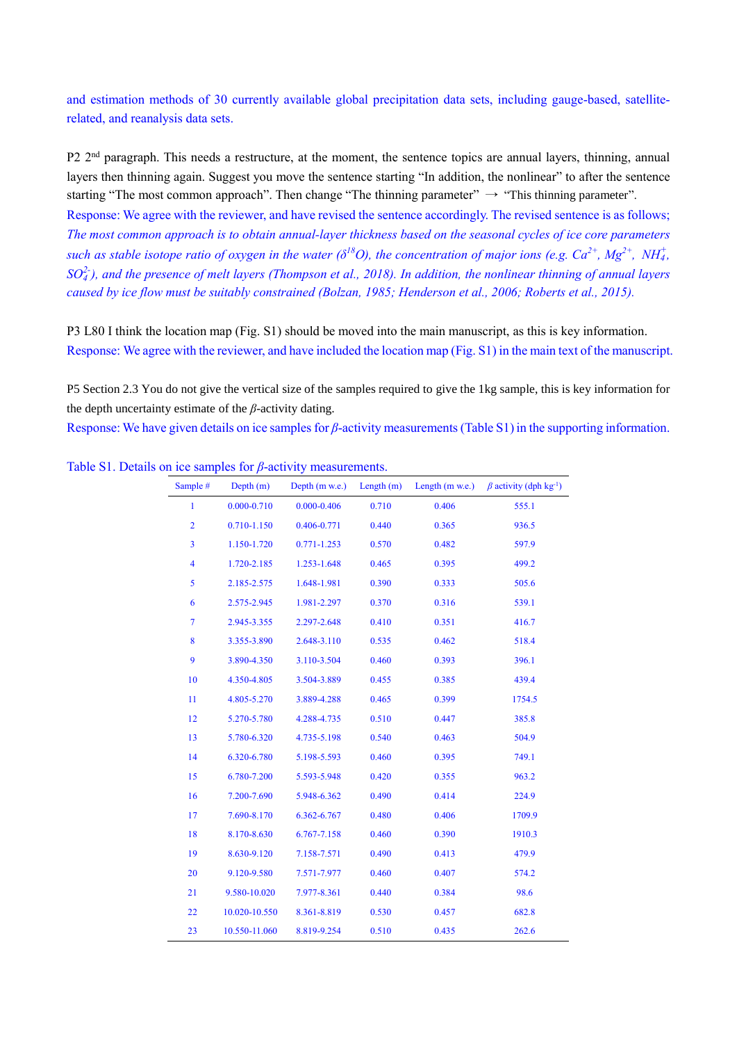and estimation methods of 30 currently available global precipitation data sets, including gauge-based, satelliterelated, and reanalysis data sets.

P2 2<sup>nd</sup> paragraph. This needs a restructure, at the moment, the sentence topics are annual layers, thinning, annual layers then thinning again. Suggest you move the sentence starting "In addition, the nonlinear" to after the sentence starting "The most common approach". Then change "The thinning parameter"  $\rightarrow$  "This thinning parameter". Response: We agree with the reviewer, and have revised the sentence accordingly. The revised sentence is as follows;

*The most common approach is to obtain annual-layer thickness based on the seasonal cycles of ice core parameters such as stable isotope ratio of oxygen in the water (* $\delta^{18}O$ *), the concentration of major ions (e.g.*  $Ca^{2+}$ *,*  $Mg^{2+}$ *,*  $NH_4^+$ *, SO<sup>4</sup> 2- ), and the presence of melt layers (Thompson et al., 2018). In addition, the nonlinear thinning of annual layers caused by ice flow must be suitably constrained (Bolzan, 1985; Henderson et al., 2006; Roberts et al., 2015).*

P3 L80 I think the location map (Fig. S1) should be moved into the main manuscript, as this is key information. Response: We agree with the reviewer, and have included the location map (Fig. S1) in the main text of the manuscript.

P5 Section 2.3 You do not give the vertical size of the samples required to give the 1kg sample, this is key information for the depth uncertainty estimate of the *β*-activity dating.

Response: We have given details on ice samples for *β*-activity measurements (Table S1) in the supporting information.

| Sample #                | Depth(m)        | Depth (m w.e.)  | Length $(m)$ | Length (m w.e.) | $\beta$ activity (dph kg <sup>-1</sup> ) |
|-------------------------|-----------------|-----------------|--------------|-----------------|------------------------------------------|
| $\mathbf{1}$            | $0.000 - 0.710$ | $0.000 - 0.406$ | 0.710        | 0.406           | 555.1                                    |
| $\overline{2}$          | 0.710-1.150     | 0.406-0.771     | 0.440        | 0.365           | 936.5                                    |
| $\overline{\mathbf{3}}$ | 1.150-1.720     | $0.771 - 1.253$ | 0.570        | 0.482           | 597.9                                    |
| $\overline{\mathbf{4}}$ | 1.720-2.185     | 1.253-1.648     | 0.465        | 0.395           | 499.2                                    |
| 5                       | 2.185-2.575     | 1.648-1.981     | 0.390        | 0.333           | 505.6                                    |
| 6                       | 2.575-2.945     | 1.981-2.297     | 0.370        | 0.316           | 539.1                                    |
| $\overline{7}$          | 2.945-3.355     | 2.297-2.648     | 0.410        | 0.351           | 416.7                                    |
| 8                       | 3.355-3.890     | 2.648-3.110     | 0.535        | 0.462           | 518.4                                    |
| 9                       | 3.890-4.350     | 3.110-3.504     | 0.460        | 0.393           | 396.1                                    |
| 10                      | 4.350-4.805     | 3.504-3.889     | 0.455        | 0.385           | 439.4                                    |
| 11                      | 4.805-5.270     | 3.889-4.288     | 0.465        | 0.399           | 1754.5                                   |
| 12                      | 5.270-5.780     | 4.288-4.735     | 0.510        | 0.447           | 385.8                                    |
| 13                      | 5.780-6.320     | 4.735-5.198     | 0.540        | 0.463           | 504.9                                    |
| 14                      | 6.320-6.780     | 5.198-5.593     | 0.460        | 0.395           | 749.1                                    |
| 15                      | 6.780-7.200     | 5.593-5.948     | 0.420        | 0.355           | 963.2                                    |
| 16                      | 7.200-7.690     | 5.948-6.362     | 0.490        | 0.414           | 224.9                                    |
| 17                      | 7.690-8.170     | 6.362-6.767     | 0.480        | 0.406           | 1709.9                                   |
| 18                      | 8.170-8.630     | 6.767-7.158     | 0.460        | 0.390           | 1910.3                                   |
| 19                      | 8.630-9.120     | 7.158-7.571     | 0.490        | 0.413           | 479.9                                    |
| 20                      | 9.120-9.580     | 7.571-7.977     | 0.460        | 0.407           | 574.2                                    |
| 21                      | 9.580-10.020    | 7.977-8.361     | 0.440        | 0.384           | 98.6                                     |
| 22                      | 10.020-10.550   | 8.361-8.819     | 0.530        | 0.457           | 682.8                                    |
| 23                      | 10.550-11.060   | 8.819-9.254     | 0.510        | 0.435           | 262.6                                    |

Table S1. Details on ice samples for *β*-activity measurements.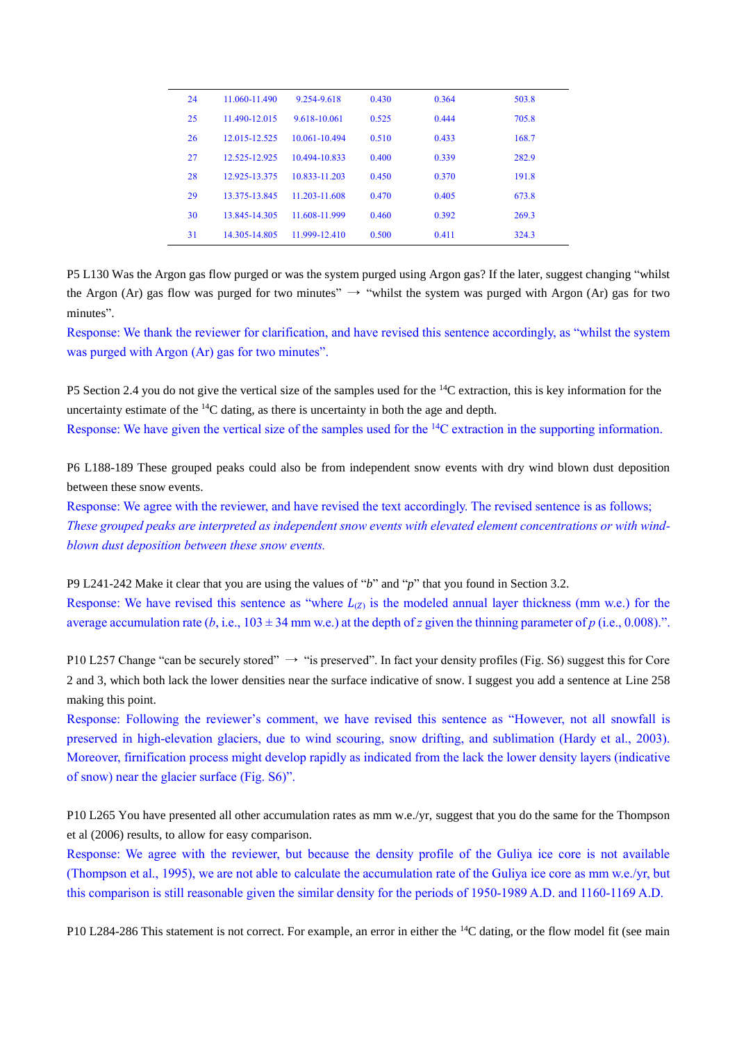| 24 | 11.060-11.490 | 9.254-9.618   | 0.430 | 0.364 | 503.8 |
|----|---------------|---------------|-------|-------|-------|
| 25 | 11.490-12.015 | 9.618-10.061  | 0.525 | 0.444 | 705.8 |
| 26 | 12.015-12.525 | 10.061-10.494 | 0.510 | 0.433 | 168.7 |
| 27 | 12.525-12.925 | 10.494-10.833 | 0.400 | 0.339 | 282.9 |
| 28 | 12.925-13.375 | 10.833-11.203 | 0.450 | 0.370 | 191.8 |
| 29 | 13.375-13.845 | 11.203-11.608 | 0.470 | 0.405 | 673.8 |
| 30 | 13.845-14.305 | 11.608-11.999 | 0.460 | 0.392 | 269.3 |
| 31 | 14.305-14.805 | 11.999-12.410 | 0.500 | 0.411 | 324.3 |

P5 L130 Was the Argon gas flow purged or was the system purged using Argon gas? If the later, suggest changing "whilst the Argon (Ar) gas flow was purged for two minutes"  $\rightarrow$  "whilst the system was purged with Argon (Ar) gas for two minutes".

Response: We thank the reviewer for clarification, and have revised this sentence accordingly, as "whilst the system was purged with Argon (Ar) gas for two minutes".

P5 Section 2.4 you do not give the vertical size of the samples used for the <sup>14</sup>C extraction, this is key information for the uncertainty estimate of the  $^{14}C$  dating, as there is uncertainty in both the age and depth.

Response: We have given the vertical size of the samples used for the <sup>14</sup>C extraction in the supporting information.

P6 L188-189 These grouped peaks could also be from independent snow events with dry wind blown dust deposition between these snow events.

Response: We agree with the reviewer, and have revised the text accordingly. The revised sentence is as follows; *These grouped peaks are interpreted as independent snow events with elevated element concentrations or with windblown dust deposition between these snow events.*

P9 L241-242 Make it clear that you are using the values of "*b*" and "*p*" that you found in Section 3.2. Response: We have revised this sentence as "where  $L_{(2)}$  is the modeled annual layer thickness (mm w.e.) for the average accumulation rate  $(b, i.e., 103 \pm 34 \text{ mm} \text{ w.e.})$  at the depth of *z* given the thinning parameter of *p* (i.e., 0.008).".

P10 L257 Change "can be securely stored"  $\rightarrow$  "is preserved". In fact your density profiles (Fig. S6) suggest this for Core 2 and 3, which both lack the lower densities near the surface indicative of snow. I suggest you add a sentence at Line 258 making this point.

Response: Following the reviewer's comment, we have revised this sentence as "However, not all snowfall is preserved in high-elevation glaciers, due to wind scouring, snow drifting, and sublimation (Hardy et al., 2003). Moreover, firnification process might develop rapidly as indicated from the lack the lower density layers (indicative of snow) near the glacier surface (Fig. S6)".

P10 L265 You have presented all other accumulation rates as mm w.e./yr, suggest that you do the same for the Thompson et al (2006) results, to allow for easy comparison.

Response: We agree with the reviewer, but because the density profile of the Guliya ice core is not available (Thompson et al., 1995), we are not able to calculate the accumulation rate of the Guliya ice core as mm w.e./yr, but this comparison is still reasonable given the similar density for the periods of 1950-1989 A.D. and 1160-1169 A.D.

P10 L284-286 This statement is not correct. For example, an error in either the <sup>14</sup>C dating, or the flow model fit (see main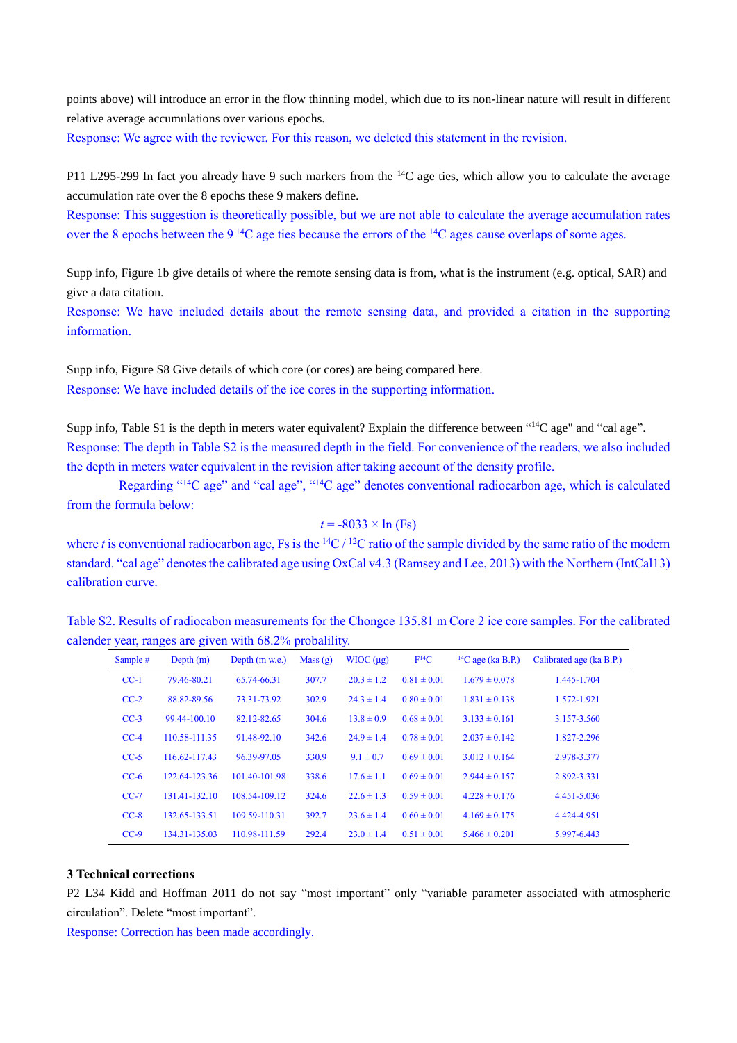points above) will introduce an error in the flow thinning model, which due to its non-linear nature will result in different relative average accumulations over various epochs.

Response: We agree with the reviewer. For this reason, we deleted this statement in the revision.

P11 L295-299 In fact you already have 9 such markers from the <sup>14</sup>C age ties, which allow you to calculate the average accumulation rate over the 8 epochs these 9 makers define.

Response: This suggestion is theoretically possible, but we are not able to calculate the average accumulation rates over the 8 epochs between the 9 <sup>14</sup>C age ties because the errors of the <sup>14</sup>C ages cause overlaps of some ages.

Supp info, Figure 1b give details of where the remote sensing data is from, what is the instrument (e.g. optical, SAR) and give a data citation.

Response: We have included details about the remote sensing data, and provided a citation in the supporting information.

Supp info, Figure S8 Give details of which core (or cores) are being compared here. Response: We have included details of the ice cores in the supporting information.

Supp info, Table S1 is the depth in meters water equivalent? Explain the difference between "<sup>14</sup>C age" and "cal age". Response: The depth in Table S2 is the measured depth in the field. For convenience of the readers, we also included the depth in meters water equivalent in the revision after taking account of the density profile.

Regarding "<sup>14</sup>C age" and "cal age", "<sup>14</sup>C age" denotes conventional radiocarbon age, which is calculated from the formula below:

 $t = -8033 \times \ln(F_s)$ 

where *t* is conventional radiocarbon age, Fs is the  ${}^{14}C / {}^{12}C$  ratio of the sample divided by the same ratio of the modern standard. "cal age" denotes the calibrated age using OxCal v4.3 (Ramsey and Lee, 2013) with the Northern (IntCal13) calibration curve.

Table S2. Results of radiocabon measurements for the Chongce 135.81 m Core 2 ice core samples. For the calibrated calender year, ranges are given with 68.2% probalility.

|          | $\tilde{\phantom{a}}$<br>$\tilde{\phantom{a}}$ |                  |         | $\tilde{\phantom{a}}$ |                 |                          |                          |
|----------|------------------------------------------------|------------------|---------|-----------------------|-----------------|--------------------------|--------------------------|
| Sample # | Depth(m)                                       | Depth $(m w.e.)$ | Mass(g) | $WIOC (\mu g)$        | $F^{14}C$       | ${}^{14}C$ age (ka B.P.) | Calibrated age (ka B.P.) |
| $CC-1$   | 79.46-80.21                                    | 65.74-66.31      | 307.7   | $20.3 \pm 1.2$        | $0.81 \pm 0.01$ | $1.679 \pm 0.078$        | 1.445-1.704              |
| $CC-2$   | 88.82-89.56                                    | 73.31-73.92      | 302.9   | $24.3 \pm 1.4$        | $0.80 \pm 0.01$ | $1.831 \pm 0.138$        | 1.572-1.921              |
| $CC-3$   | 99.44-100.10                                   | 82.12-82.65      | 304.6   | $13.8 \pm 0.9$        | $0.68 \pm 0.01$ | $3.133 \pm 0.161$        | 3.157-3.560              |
| $CC-4$   | 110.58-111.35                                  | 91.48-92.10      | 342.6   | $24.9 \pm 1.4$        | $0.78 \pm 0.01$ | $2.037 \pm 0.142$        | 1.827-2.296              |
| $CC-5$   | 116.62-117.43                                  | 96.39-97.05      | 330.9   | $9.1 \pm 0.7$         | $0.69 \pm 0.01$ | $3.012 \pm 0.164$        | 2.978-3.377              |
| $CC-6$   | 122.64-123.36                                  | 101.40-101.98    | 338.6   | $17.6 \pm 1.1$        | $0.69 \pm 0.01$ | $2.944 \pm 0.157$        | 2.892-3.331              |
| $CC-7$   | 131.41-132.10                                  | 108.54-109.12    | 324.6   | $22.6 \pm 1.3$        | $0.59 \pm 0.01$ | $4.228 \pm 0.176$        | 4.451-5.036              |
| $CC-8$   | 132.65-133.51                                  | 109.59-110.31    | 392.7   | $23.6 \pm 1.4$        | $0.60 \pm 0.01$ | $4.169 \pm 0.175$        | 4.424-4.951              |
| $CC-9$   | 134.31-135.03                                  | 110.98-111.59    | 292.4   | $23.0 \pm 1.4$        | $0.51 \pm 0.01$ | $5.466 \pm 0.201$        | 5.997-6.443              |

## **3 Technical corrections**

P2 L34 Kidd and Hoffman 2011 do not say "most important" only "variable parameter associated with atmospheric circulation". Delete "most important".

Response: Correction has been made accordingly.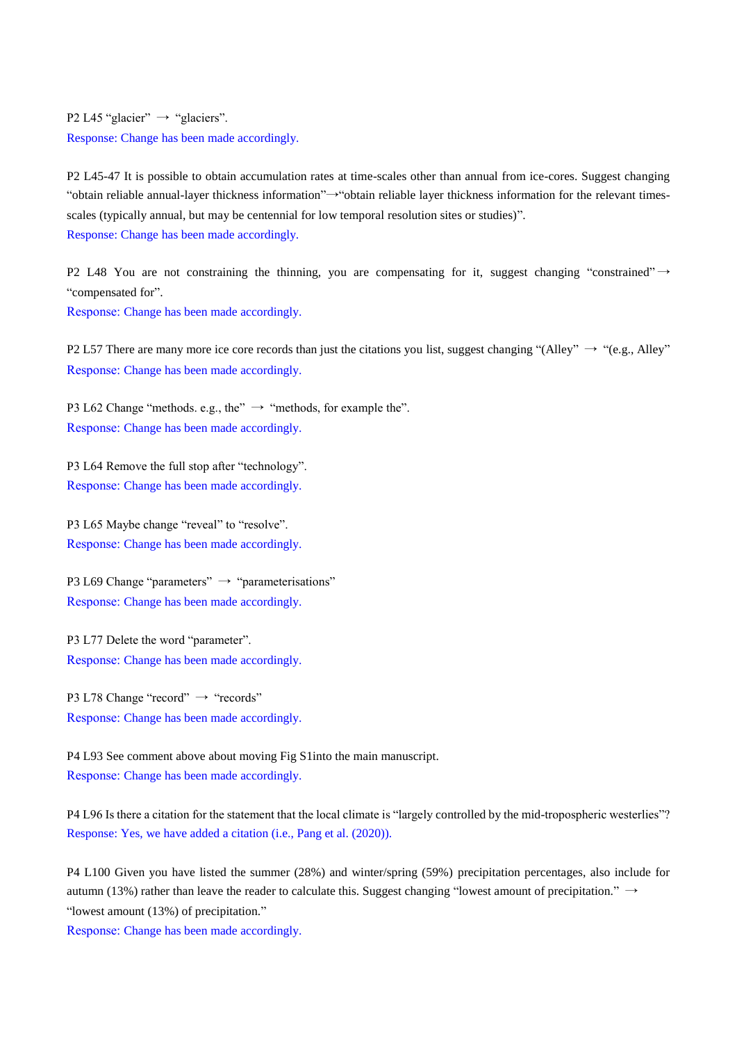P2 L45 "glacier"  $\rightarrow$  "glaciers". Response: Change has been made accordingly.

P2 L45-47 It is possible to obtain accumulation rates at time-scales other than annual from ice-cores. Suggest changing "obtain reliable annual-layer thickness information"→"obtain reliable layer thickness information for the relevant timesscales (typically annual, but may be centennial for low temporal resolution sites or studies)". Response: Change has been made accordingly.

P2 L48 You are not constraining the thinning, you are compensating for it, suggest changing "constrained"  $\rightarrow$ "compensated for".

Response: Change has been made accordingly.

P2 L57 There are many more ice core records than just the citations you list, suggest changing "(Alley"  $\rightarrow$  "(e.g., Alley" Response: Change has been made accordingly.

P3 L62 Change "methods. e.g., the"  $\rightarrow$  "methods, for example the". Response: Change has been made accordingly.

P3 L64 Remove the full stop after "technology". Response: Change has been made accordingly.

P3 L65 Maybe change "reveal" to "resolve". Response: Change has been made accordingly.

P3 L69 Change "parameters"  $\rightarrow$  "parameterisations" Response: Change has been made accordingly.

P3 L77 Delete the word "parameter". Response: Change has been made accordingly.

P3 L78 Change "record" → "records" Response: Change has been made accordingly.

P4 L93 See comment above about moving Fig S1into the main manuscript. Response: Change has been made accordingly.

P4 L96 Is there a citation for the statement that the local climate is "largely controlled by the mid-tropospheric westerlies"? Response: Yes, we have added a citation (i.e., Pang et al. (2020)).

P4 L100 Given you have listed the summer (28%) and winter/spring (59%) precipitation percentages, also include for autumn (13%) rather than leave the reader to calculate this. Suggest changing "lowest amount of precipitation."  $\rightarrow$ "lowest amount (13%) of precipitation."

Response: Change has been made accordingly.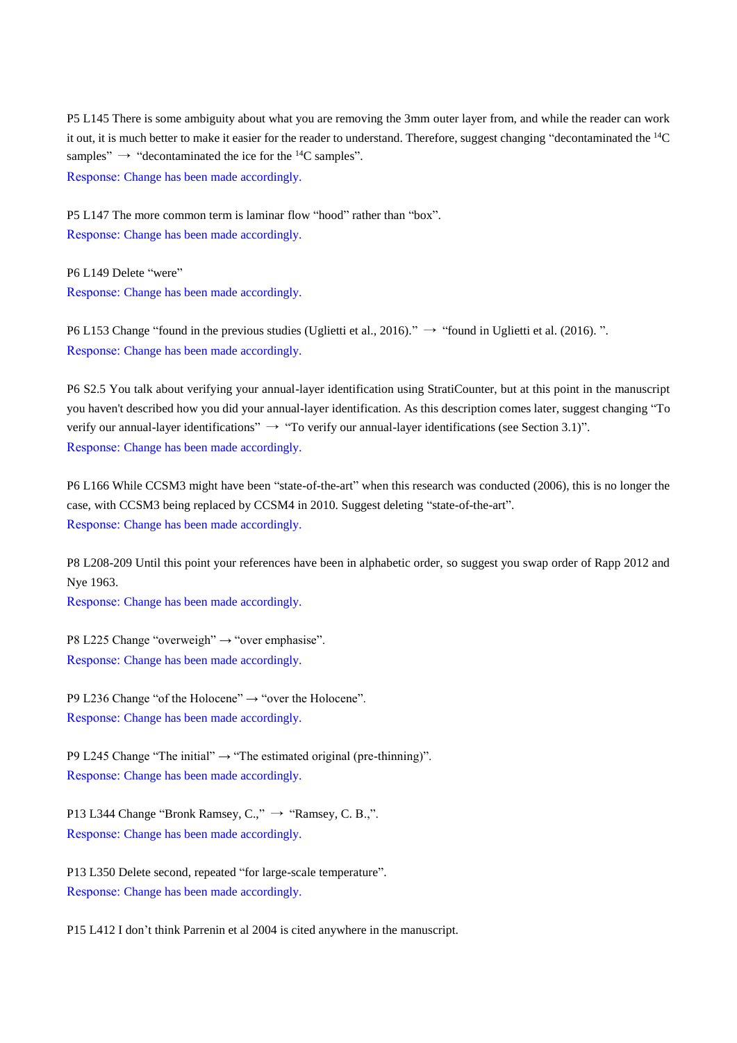P5 L145 There is some ambiguity about what you are removing the 3mm outer layer from, and while the reader can work it out, it is much better to make it easier for the reader to understand. Therefore, suggest changing "decontaminated the <sup>14</sup>C samples"  $\rightarrow$  "decontaminated the ice for the <sup>14</sup>C samples".

Response: Change has been made accordingly.

P5 L147 The more common term is laminar flow "hood" rather than "box". Response: Change has been made accordingly.

P6 L149 Delete "were" Response: Change has been made accordingly.

P6 L153 Change "found in the previous studies (Uglietti et al., 2016)."  $\rightarrow$  "found in Uglietti et al. (2016).". Response: Change has been made accordingly.

P6 S2.5 You talk about verifying your annual-layer identification using StratiCounter, but at this point in the manuscript you haven't described how you did your annual-layer identification. As this description comes later, suggest changing "To verify our annual-layer identifications"  $\rightarrow$  "To verify our annual-layer identifications (see Section 3.1)". Response: Change has been made accordingly.

P6 L166 While CCSM3 might have been "state-of-the-art" when this research was conducted (2006), this is no longer the case, with CCSM3 being replaced by CCSM4 in 2010. Suggest deleting "state-of-the-art". Response: Change has been made accordingly.

P8 L208-209 Until this point your references have been in alphabetic order, so suggest you swap order of Rapp 2012 and Nye 1963.

Response: Change has been made accordingly.

P8 L225 Change "overweigh" → "over emphasise". Response: Change has been made accordingly.

P9 L236 Change "of the Holocene"  $\rightarrow$  "over the Holocene". Response: Change has been made accordingly.

P9 L245 Change "The initial"  $\rightarrow$  "The estimated original (pre-thinning)". Response: Change has been made accordingly.

P13 L344 Change "Bronk Ramsey,  $C_{1}$ "  $\rightarrow$  "Ramsey, C, B.,". Response: Change has been made accordingly.

P13 L350 Delete second, repeated "for large-scale temperature". Response: Change has been made accordingly.

P15 L412 I don't think Parrenin et al 2004 is cited anywhere in the manuscript.